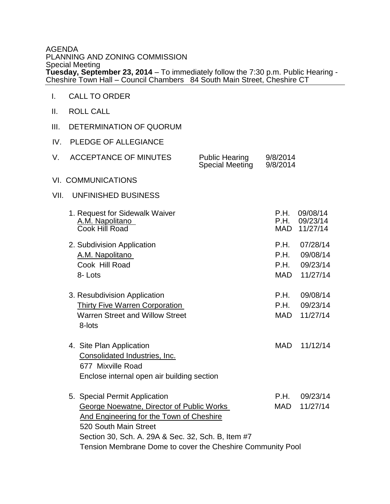## AGENDA PLANNING AND ZONING COMMISSION Special Meeting **Tuesday, September 23, 2014** – To immediately follow the 7:30 p.m. Public Hearing - Cheshire Town Hall – Council Chambers 84 South Main Street, Cheshire CT

- I. CALL TO ORDER
- II. ROLL CALL
- III. DETERMINATION OF QUORUM
- IV. PLEDGE OF ALLEGIANCE

| <b>ACCEPTANCE OF MINUTES</b><br>V.                                                                                           | <b>Public Hearing</b><br><b>Special Meeting</b> | 9/8/2014<br>9/8/2014       |                                  |  |
|------------------------------------------------------------------------------------------------------------------------------|-------------------------------------------------|----------------------------|----------------------------------|--|
| <b>VI. COMMUNICATIONS</b>                                                                                                    |                                                 |                            |                                  |  |
| UNFINISHED BUSINESS<br>VII.                                                                                                  |                                                 |                            |                                  |  |
| 1. Request for Sidewalk Waiver<br>A.M. Napolitano<br>Cook Hill Road                                                          |                                                 | P.H.<br>P.H.<br>MAD        | 09/08/14<br>09/23/14<br>11/27/14 |  |
| 2. Subdivision Application                                                                                                   |                                                 | P.H.                       | 07/28/14                         |  |
| A.M. Napolitano                                                                                                              |                                                 | P.H.                       | 09/08/14                         |  |
| Cook Hill Road                                                                                                               |                                                 | P.H.                       | 09/23/14                         |  |
| 8-Lots                                                                                                                       |                                                 | MAD                        | 11/27/14                         |  |
| 3. Resubdivision Application<br>Thirty Five Warren Corporation<br><b>Warren Street and Willow Street</b><br>8-lots           |                                                 | P.H.<br>P.H.<br><b>MAD</b> | 09/08/14<br>09/23/14<br>11/27/14 |  |
| 4. Site Plan Application<br>Consolidated Industries, Inc.<br>677 Mixville Road<br>Enclose internal open air building section |                                                 | <b>MAD</b>                 | 11/12/14                         |  |
| 5. Special Permit Application                                                                                                |                                                 | <b>P.H.</b>                | 09/23/14                         |  |
| <b>George Noewatne, Director of Public Works</b>                                                                             |                                                 | MAD                        | 11/27/14                         |  |
| And Engineering for the Town of Cheshire                                                                                     |                                                 |                            |                                  |  |
| 520 South Main Street                                                                                                        |                                                 |                            |                                  |  |
| Section 30, Sch. A. 29A & Sec. 32, Sch. B, Item #7                                                                           |                                                 |                            |                                  |  |

Tension Membrane Dome to cover the Cheshire Community Pool